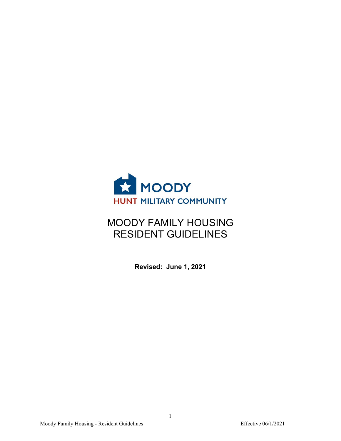

# MOODY FAMILY HOUSING RESIDENT GUIDELINES

**Revised: June 1, 2021**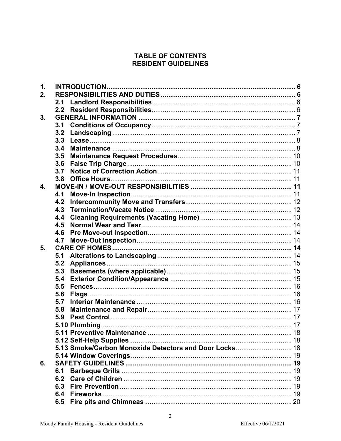# **TABLE OF CONTENTS RESIDENT GUIDELINES**

| 1. |     |                                                        |  |
|----|-----|--------------------------------------------------------|--|
| 2. |     |                                                        |  |
|    |     |                                                        |  |
|    |     |                                                        |  |
| 3. |     |                                                        |  |
|    | 3.1 |                                                        |  |
|    | 3.2 |                                                        |  |
|    | 3.3 |                                                        |  |
|    | 3.4 |                                                        |  |
|    | 3.5 |                                                        |  |
|    | 3.6 |                                                        |  |
|    | 3.7 |                                                        |  |
|    | 3.8 |                                                        |  |
| 4. |     |                                                        |  |
|    | 4.1 |                                                        |  |
|    | 4.2 |                                                        |  |
|    | 4.3 |                                                        |  |
|    | 4.4 |                                                        |  |
|    | 4.5 |                                                        |  |
|    | 4.6 |                                                        |  |
|    | 4.7 |                                                        |  |
| 5. |     |                                                        |  |
|    | 5.1 |                                                        |  |
|    | 5.2 |                                                        |  |
|    | 5.3 |                                                        |  |
|    | 5.4 |                                                        |  |
|    | 5.5 |                                                        |  |
|    | 5.6 |                                                        |  |
|    | 5.7 |                                                        |  |
|    | 5.8 |                                                        |  |
|    | 5.9 |                                                        |  |
|    |     |                                                        |  |
|    |     |                                                        |  |
|    |     |                                                        |  |
|    |     | 5.13 Smoke/Carbon Monoxide Detectors and Door Locks 18 |  |
|    |     |                                                        |  |
| 6. |     |                                                        |  |
|    | 6.1 |                                                        |  |
|    | 6.2 |                                                        |  |
|    | 6.3 |                                                        |  |
|    | 6.4 | Fireworks                                              |  |
|    | 6.5 |                                                        |  |
|    |     |                                                        |  |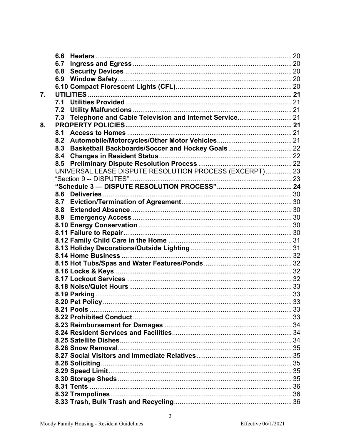|    | 6.6                                                        |  |
|----|------------------------------------------------------------|--|
|    | 6.7                                                        |  |
|    |                                                            |  |
|    |                                                            |  |
|    |                                                            |  |
| 7. |                                                            |  |
|    | 7.1                                                        |  |
|    | 7.2                                                        |  |
|    | 7.3 Telephone and Cable Television and Internet Service 21 |  |
| 8. |                                                            |  |
|    | 8.1                                                        |  |
|    | 8.2                                                        |  |
|    | Basketball Backboards/Soccer and Hockey Goals 22<br>8.3    |  |
|    | 8.4                                                        |  |
|    | 8.5                                                        |  |
|    | UNIVERSAL LEASE DISPUTE RESOLUTION PROCESS (EXCERPT) 23    |  |
|    |                                                            |  |
|    |                                                            |  |
|    | 8.6                                                        |  |
|    | 8.7                                                        |  |
|    | 8.8                                                        |  |
|    | 8.9                                                        |  |
|    |                                                            |  |
|    |                                                            |  |
|    |                                                            |  |
|    |                                                            |  |
|    |                                                            |  |
|    |                                                            |  |
|    |                                                            |  |
|    |                                                            |  |
|    |                                                            |  |
|    |                                                            |  |
|    |                                                            |  |
|    |                                                            |  |
|    |                                                            |  |
|    |                                                            |  |
|    |                                                            |  |
|    |                                                            |  |
|    |                                                            |  |
|    |                                                            |  |
|    |                                                            |  |
|    |                                                            |  |
|    |                                                            |  |
|    |                                                            |  |
|    |                                                            |  |
|    |                                                            |  |
|    |                                                            |  |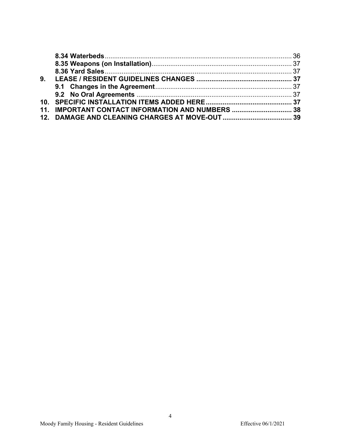| 9. |                                                   |  |
|----|---------------------------------------------------|--|
|    |                                                   |  |
|    |                                                   |  |
|    |                                                   |  |
|    | 11. IMPORTANT CONTACT INFORMATION AND NUMBERS  38 |  |
|    |                                                   |  |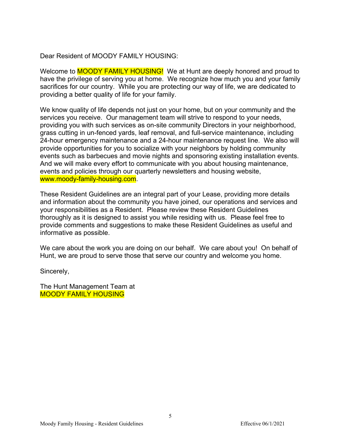Dear Resident of MOODY FAMILY HOUSING:

Welcome to **MOODY FAMILY HOUSING!** We at Hunt are deeply honored and proud to have the privilege of serving you at home. We recognize how much you and your family sacrifices for our country. While you are protecting our way of life, we are dedicated to providing a better quality of life for your family.

We know quality of life depends not just on your home, but on your community and the services you receive. Our management team will strive to respond to your needs, providing you with such services as on-site community Directors in your neighborhood, grass cutting in un-fenced yards, leaf removal, and full-service maintenance, including 24-hour emergency maintenance and a 24-hour maintenance request line. We also will provide opportunities for you to socialize with your neighbors by holding community events such as barbecues and movie nights and sponsoring existing installation events. And we will make every effort to communicate with you about housing maintenance, events and policies through our quarterly newsletters and housing website, www.moody-family-housing.com.

These Resident Guidelines are an integral part of your Lease, providing more details and information about the community you have joined, our operations and services and your responsibilities as a Resident. Please review these Resident Guidelines thoroughly as it is designed to assist you while residing with us. Please feel free to provide comments and suggestions to make these Resident Guidelines as useful and informative as possible.

We care about the work you are doing on our behalf. We care about you! On behalf of Hunt, we are proud to serve those that serve our country and welcome you home.

Sincerely,

The Hunt Management Team at MOODY FAMILY HOUSING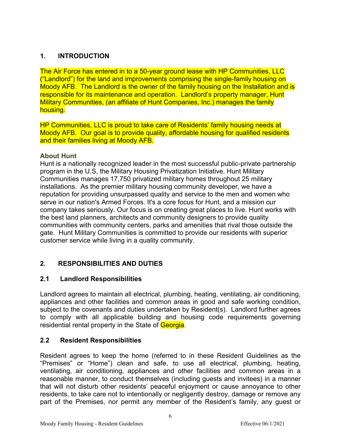# <span id="page-5-0"></span>**1. INTRODUCTION**

The Air Force has entered in to a 50-year ground lease with HP Communities, LLC ("Landlord") for the land and improvements comprising the single-family housing on Moody AFB. The Landlord is the owner of the family housing on the Installation and is responsible for its maintenance and operation. Landlord's property manager, Hunt Military Communities, (an affiliate of Hunt Companies, Inc.) manages the family housing.

HP Communities, LLC is proud to take care of Residents' family housing needs at Moody AFB. Our goal is to provide quality, affordable housing for qualified residents and their families living at Moody AFB.

# **About Hunt**

Hunt is a nationally recognized leader in the most successful public-private partnership program in the U.S, the Military Housing Privatization Initiative. Hunt Military Communities manages 17,750 privatized military homes throughout 25 military installations. As the premier military housing community developer, we have a reputation for providing unsurpassed quality and service to the men and women who serve in our nation's Armed Forces. It's a core focus for Hunt, and a mission our company takes seriously. Our focus is on creating great places to live. Hunt works with the best land planners, architects and community designers to provide quality communities with community centers, parks and amenities that rival those outside the gate. Hunt Military Communities is committed to provide our residents with superior customer service while living in a quality community.

# <span id="page-5-1"></span>**2. RESPONSIBILITIES AND DUTIES**

# <span id="page-5-2"></span>**2.1 Landlord Responsibilities**

Landlord agrees to maintain all electrical, plumbing, heating, ventilating, air conditioning, appliances and other facilities and common areas in good and safe working condition, subject to the covenants and duties undertaken by Resident(s). Landlord further agrees to comply with all applicable building and housing code requirements governing residential rental property in the State of Georgia.

# <span id="page-5-3"></span>**2.2 Resident Responsibilities**

Resident agrees to keep the home (referred to in these Resident Guidelines as the "Premises" or "Home") clean and safe, to use all electrical, plumbing, heating, ventilating, air conditioning, appliances and other facilities and common areas in a reasonable manner, to conduct themselves (including guests and invitees) in a manner that will not disturb other residents' peaceful enjoyment or cause annoyance to other residents, to take care not to intentionally or negligently destroy, damage or remove any part of the Premises, nor permit any member of the Resident's family, any guest or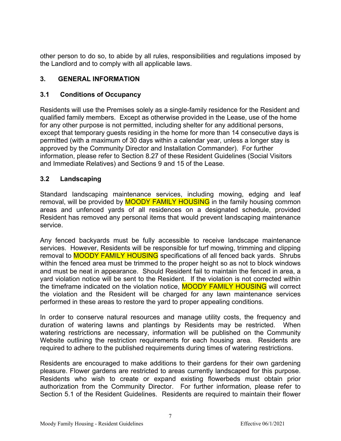other person to do so, to abide by all rules, responsibilities and regulations imposed by the Landlord and to comply with all applicable laws.

# <span id="page-6-0"></span>**3. GENERAL INFORMATION**

#### <span id="page-6-1"></span>**3.1 Conditions of Occupancy**

Residents will use the Premises solely as a single-family residence for the Resident and qualified family members. Except as otherwise provided in the Lease, use of the home for any other purpose is not permitted, including shelter for any additional persons, except that temporary guests residing in the home for more than 14 consecutive days is permitted (with a maximum of 30 days within a calendar year, unless a longer stay is approved by the Community Director and Installation Commander). For further information, please refer to Section 8.27 of these Resident Guidelines (Social Visitors and Immediate Relatives) and Sections 9 and 15 of the Lease.

#### <span id="page-6-2"></span>**3.2 Landscaping**

Standard landscaping maintenance services, including mowing, edging and leaf removal, will be provided by **MOODY FAMILY HOUSING** in the family housing common areas and unfenced yards of all residences on a designated schedule, provided Resident has removed any personal items that would prevent landscaping maintenance service.

Any fenced backyards must be fully accessible to receive landscape maintenance services. However, Residents will be responsible for turf mowing, trimming and clipping removal to **MOODY FAMILY HOUSING** specifications of all fenced back yards. Shrubs within the fenced area must be trimmed to the proper height so as not to block windows and must be neat in appearance. Should Resident fail to maintain the fenced in area, a yard violation notice will be sent to the Resident. If the violation is not corrected within the timeframe indicated on the violation notice, MOODY FAMILY HOUSING will correct the violation and the Resident will be charged for any lawn maintenance services performed in these areas to restore the yard to proper appealing conditions.

In order to conserve natural resources and manage utility costs, the frequency and duration of watering lawns and plantings by Residents may be restricted. When watering restrictions are necessary, information will be published on the Community Website outlining the restriction requirements for each housing area. Residents are required to adhere to the published requirements during times of watering restrictions.

Residents are encouraged to make additions to their gardens for their own gardening pleasure. Flower gardens are restricted to areas currently landscaped for this purpose. Residents who wish to create or expand existing flowerbeds must obtain prior authorization from the Community Director. For further information, please refer to Section 5.1 of the Resident Guidelines. Residents are required to maintain their flower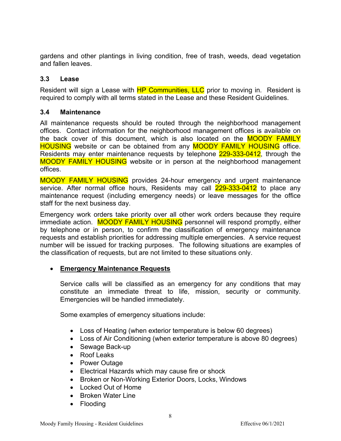gardens and other plantings in living condition, free of trash, weeds, dead vegetation and fallen leaves.

#### <span id="page-7-0"></span>**3.3 Lease**

Resident will sign a Lease with **HP Communities, LLC** prior to moving in. Resident is required to comply with all terms stated in the Lease and these Resident Guidelines.

#### <span id="page-7-1"></span>**3.4 Maintenance**

All maintenance requests should be routed through the neighborhood management offices. Contact information for the neighborhood management offices is available on the back cover of this document, which is also located on the **MOODY FAMILY HOUSING** website or can be obtained from any **MOODY FAMILY HOUSING** office. Residents may enter maintenance requests by telephone 229-333-0412, through the MOODY FAMILY HOUSING website or in person at the neighborhood management offices.

MOODY FAMILY HOUSING provides 24-hour emergency and urgent maintenance service. After normal office hours, Residents may call 229-333-0412 to place any maintenance request (including emergency needs) or leave messages for the office staff for the next business day.

Emergency work orders take priority over all other work orders because they require immediate action. MOODY FAMILY HOUSING personnel will respond promptly, either by telephone or in person, to confirm the classification of emergency maintenance requests and establish priorities for addressing multiple emergencies. A service request number will be issued for tracking purposes. The following situations are examples of the classification of requests, but are not limited to these situations only.

#### • **Emergency Maintenance Requests**

Service calls will be classified as an emergency for any conditions that may constitute an immediate threat to life, mission, security or community. Emergencies will be handled immediately.

Some examples of emergency situations include:

- Loss of Heating (when exterior temperature is below 60 degrees)
- Loss of Air Conditioning (when exterior temperature is above 80 degrees)
- Sewage Back-up
- Roof Leaks
- Power Outage
- Electrical Hazards which may cause fire or shock
- Broken or Non-Working Exterior Doors, Locks, Windows
- Locked Out of Home
- Broken Water Line
- Flooding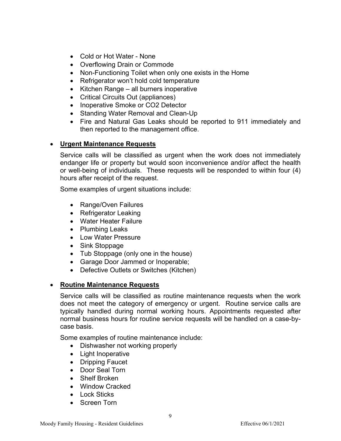- Cold or Hot Water None
- Overflowing Drain or Commode
- Non-Functioning Toilet when only one exists in the Home
- Refrigerator won't hold cold temperature
- Kitchen Range all burners inoperative
- Critical Circuits Out (appliances)
- Inoperative Smoke or CO2 Detector
- Standing Water Removal and Clean-Up
- Fire and Natural Gas Leaks should be reported to 911 immediately and then reported to the management office.

#### • **Urgent Maintenance Requests**

Service calls will be classified as urgent when the work does not immediately endanger life or property but would soon inconvenience and/or affect the health or well-being of individuals. These requests will be responded to within four (4) hours after receipt of the request.

Some examples of urgent situations include:

- Range/Oven Failures
- Refrigerator Leaking
- Water Heater Failure
- Plumbing Leaks
- Low Water Pressure
- Sink Stoppage
- Tub Stoppage (only one in the house)
- Garage Door Jammed or Inoperable;
- Defective Outlets or Switches (Kitchen)

#### • **Routine Maintenance Requests**

Service calls will be classified as routine maintenance requests when the work does not meet the category of emergency or urgent. Routine service calls are typically handled during normal working hours. Appointments requested after normal business hours for routine service requests will be handled on a case-bycase basis.

Some examples of routine maintenance include:

- Dishwasher not working properly
- Light Inoperative
- Dripping Faucet
- Door Seal Torn
- Shelf Broken
- Window Cracked
- Lock Sticks
- Screen Torn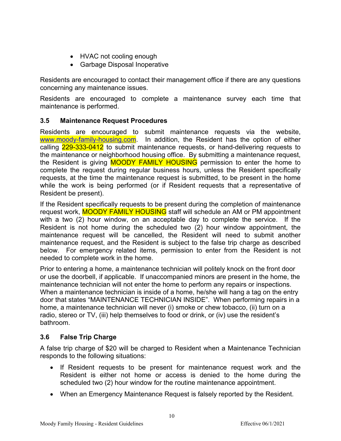- HVAC not cooling enough
- Garbage Disposal Inoperative

Residents are encouraged to contact their management office if there are any questions concerning any maintenance issues.

Residents are encouraged to complete a maintenance survey each time that maintenance is performed.

# <span id="page-9-0"></span>**3.5 Maintenance Request Procedures**

Residents are encouraged to submit maintenance requests via the website, [www.moody-family-housing.com.](http://www.randolphfamilyhousing.com/) In addition, the Resident has the option of either calling 229-333-0412 to submit maintenance requests, or hand-delivering requests to the maintenance or neighborhood housing office. By submitting a maintenance request, the Resident is giving **MOODY FAMILY HOUSING** permission to enter the home to complete the request during regular business hours, unless the Resident specifically requests, at the time the maintenance request is submitted, to be present in the home while the work is being performed (or if Resident requests that a representative of Resident be present).

If the Resident specifically requests to be present during the completion of maintenance request work, **MOODY FAMILY HOUSING** staff will schedule an AM or PM appointment with a two (2) hour window, on an acceptable day to complete the service. If the Resident is not home during the scheduled two (2) hour window appointment, the maintenance request will be cancelled, the Resident will need to submit another maintenance request, and the Resident is subject to the false trip charge as described below. For emergency related items, permission to enter from the Resident is not needed to complete work in the home.

Prior to entering a home, a maintenance technician will politely knock on the front door or use the doorbell, if applicable. If unaccompanied minors are present in the home, the maintenance technician will not enter the home to perform any repairs or inspections. When a maintenance technician is inside of a home, he/she will hang a tag on the entry door that states "MAINTENANCE TECHNICIAN INSIDE". When performing repairs in a home, a maintenance technician will never (i) smoke or chew tobacco, (ii) turn on a radio, stereo or TV, (iii) help themselves to food or drink, or (iv) use the resident's bathroom.

# <span id="page-9-1"></span>**3.6 False Trip Charge**

A false trip charge of \$20 will be charged to Resident when a Maintenance Technician responds to the following situations:

- If Resident requests to be present for maintenance request work and the Resident is either not home or access is denied to the home during the scheduled two (2) hour window for the routine maintenance appointment.
- When an Emergency Maintenance Request is falsely reported by the Resident.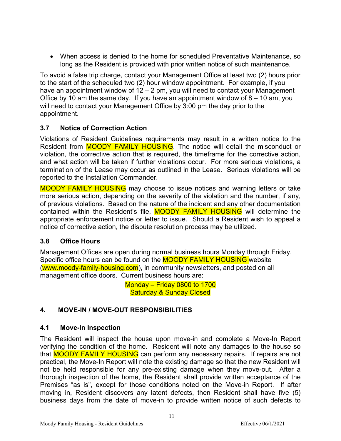• When access is denied to the home for scheduled Preventative Maintenance, so long as the Resident is provided with prior written notice of such maintenance.

To avoid a false trip charge, contact your Management Office at least two (2) hours prior to the start of the scheduled two (2) hour window appointment. For example, if you have an appointment window of 12 – 2 pm, you will need to contact your Management Office by 10 am the same day. If you have an appointment window of  $8 - 10$  am, you will need to contact your Management Office by 3:00 pm the day prior to the appointment.

# <span id="page-10-0"></span>**3.7 Notice of Correction Action**

Violations of Resident Guidelines requirements may result in a written notice to the Resident from **MOODY FAMILY HOUSING**. The notice will detail the misconduct or violation, the corrective action that is required, the timeframe for the corrective action, and what action will be taken if further violations occur. For more serious violations, a termination of the Lease may occur as outlined in the Lease. Serious violations will be reported to the Installation Commander.

MOODY FAMILY HOUSING may choose to issue notices and warning letters or take more serious action, depending on the severity of the violation and the number, if any, of previous violations. Based on the nature of the incident and any other documentation contained within the Resident's file, **MOODY FAMILY HOUSING** will determine the appropriate enforcement notice or letter to issue. Should a Resident wish to appeal a notice of corrective action, the dispute resolution process may be utilized.

# <span id="page-10-1"></span>**3.8 Office Hours**

Management Offices are open during normal business hours Monday through Friday. Specific office hours can be found on the **MOODY FAMILY HOUSING** website (www.moody-family-housing.com), in community newsletters, and posted on all management office doors. Current business hours are:

> Monday – Friday 0800 to 1700 Saturday & Sunday Closed

# <span id="page-10-2"></span>**4. MOVE-IN / MOVE-OUT RESPONSIBILITIES**

# <span id="page-10-3"></span>**4.1 Move-In Inspection**

The Resident will inspect the house upon move-in and complete a Move-In Report verifying the condition of the home. Resident will note any damages to the house so that **MOODY FAMILY HOUSING** can perform any necessary repairs. If repairs are not practical, the Move-In Report will note the existing damage so that the new Resident will not be held responsible for any pre-existing damage when they move-out. After a thorough inspection of the home, the Resident shall provide written acceptance of the Premises "as is", except for those conditions noted on the Move-in Report. If after moving in, Resident discovers any latent defects, then Resident shall have five (5) business days from the date of move-in to provide written notice of such defects to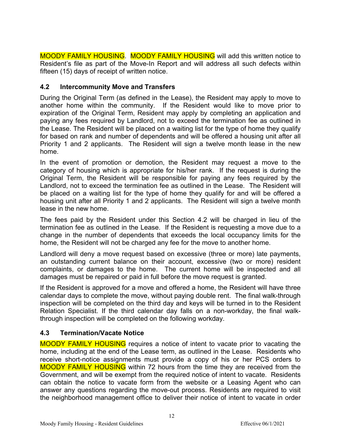MOODY FAMILY HOUSING. MOODY FAMILY HOUSING will add this written notice to Resident's file as part of the Move-In Report and will address all such defects within fifteen (15) days of receipt of written notice.

# <span id="page-11-0"></span>**4.2 Intercommunity Move and Transfers**

During the Original Term (as defined in the Lease), the Resident may apply to move to another home within the community. If the Resident would like to move prior to expiration of the Original Term, Resident may apply by completing an application and paying any fees required by Landlord, not to exceed the termination fee as outlined in the Lease. The Resident will be placed on a waiting list for the type of home they qualify for based on rank and number of dependents and will be offered a housing unit after all Priority 1 and 2 applicants. The Resident will sign a twelve month lease in the new home.

In the event of promotion or demotion, the Resident may request a move to the category of housing which is appropriate for his/her rank. If the request is during the Original Term, the Resident will be responsible for paying any fees required by the Landlord, not to exceed the termination fee as outlined in the Lease. The Resident will be placed on a waiting list for the type of home they qualify for and will be offered a housing unit after all Priority 1 and 2 applicants. The Resident will sign a twelve month lease in the new home.

The fees paid by the Resident under this Section 4.2 will be charged in lieu of the termination fee as outlined in the Lease. If the Resident is requesting a move due to a change in the number of dependents that exceeds the local occupancy limits for the home, the Resident will not be charged any fee for the move to another home.

Landlord will deny a move request based on excessive (three or more) late payments, an outstanding current balance on their account, excessive (two or more) resident complaints, or damages to the home. The current home will be inspected and all damages must be repaired or paid in full before the move request is granted.

If the Resident is approved for a move and offered a home, the Resident will have three calendar days to complete the move, without paying double rent. The final walk-through inspection will be completed on the third day and keys will be turned in to the Resident Relation Specialist. If the third calendar day falls on a non-workday, the final walkthrough inspection will be completed on the following workday.

# <span id="page-11-1"></span>**4.3 Termination/Vacate Notice**

MOODY FAMILY HOUSING requires a notice of intent to vacate prior to vacating the home, including at the end of the Lease term, as outlined in the Lease. Residents who receive short-notice assignments must provide a copy of his or her PCS orders to MOODY FAMILY HOUSING within 72 hours from the time they are received from the Government, and will be exempt from the required notice of intent to vacate. Residents can obtain the notice to vacate form from the website or a Leasing Agent who can answer any questions regarding the move-out process. Residents are required to visit the neighborhood management office to deliver their notice of intent to vacate in order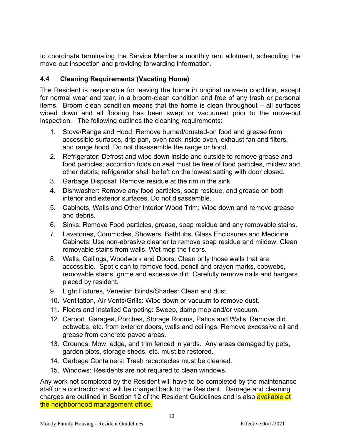to coordinate terminating the Service Member's monthly rent allotment, scheduling the move-out inspection and providing forwarding information.

# <span id="page-12-0"></span>**4.4 Cleaning Requirements (Vacating Home)**

The Resident is responsible for leaving the home in original move-in condition, except for normal wear and tear, in a broom-clean condition and free of any trash or personal items. Broom clean condition means that the home is clean throughout – all surfaces wiped down and all flooring has been swept or vacuumed prior to the move-out inspection. The following outlines the cleaning requirements:

- 1. Stove/Range and Hood: Remove burned/crusted-on food and grease from accessible surfaces, drip pan, oven rack inside oven, exhaust fan and filters, and range hood. Do not disassemble the range or hood.
- 2. Refrigerator: Defrost and wipe down inside and outside to remove grease and food particles; accordion folds on seal must be free of food particles, mildew and other debris; refrigerator shall be left on the lowest setting with door closed.
- 3. Garbage Disposal: Remove residue at the rim in the sink.
- 4. Dishwasher: Remove any food particles, soap residue, and grease on both interior and exterior surfaces. Do not disassemble.
- 5. Cabinets, Walls and Other Interior Wood Trim: Wipe down and remove grease and debris.
- 6. Sinks: Remove Food particles, grease, soap residue and any removable stains.
- 7. Lavatories, Commodes, Showers, Bathtubs, Glass Enclosures and Medicine Cabinets: Use non-abrasive cleaner to remove soap residue and mildew. Clean removable stains from walls. Wet mop the floors.
- 8. Walls, Ceilings, Woodwork and Doors: Clean only those walls that are accessible. Spot clean to remove food, pencil and crayon marks, cobwebs, removable stains, grime and excessive dirt. Carefully remove nails and hangars placed by resident.
- 9. Light Fixtures, Venetian Blinds/Shades: Clean and dust.
- 10. Ventilation, Air Vents/Grills: Wipe down or vacuum to remove dust.
- 11. Floors and Installed Carpeting: Sweep, damp mop and/or vacuum.
- 12. Carport, Garages, Porches, Storage Rooms, Patios and Walls: Remove dirt, cobwebs, etc. from exterior doors, walls and ceilings. Remove excessive oil and grease from concrete paved areas.
- 13. Grounds: Mow, edge, and trim fenced in yards. Any areas damaged by pets, garden plots, storage sheds, etc. must be restored.
- 14. Garbage Containers: Trash receptacles must be cleaned.
- 15. Windows: Residents are not required to clean windows.

Any work not completed by the Resident will have to be completed by the maintenance staff or a contractor and will be charged back to the Resident. Damage and cleaning charges are outlined in Section 12 of the Resident Guidelines and is also available at the neighborhood management office.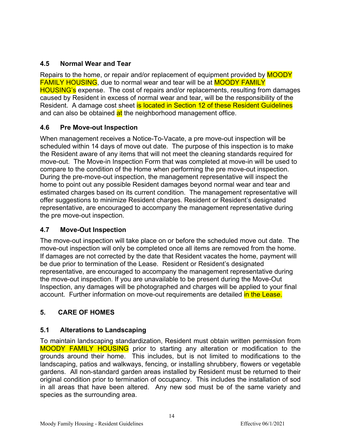# <span id="page-13-0"></span>**4.5 Normal Wear and Tear**

Repairs to the home, or repair and/or replacement of equipment provided by **MOODY** FAMILY HOUSING, due to normal wear and tear will be at MOODY FAMILY HOUSING's expense. The cost of repairs and/or replacements, resulting from damages caused by Resident in excess of normal wear and tear, will be the responsibility of the Resident. A damage cost sheet is located in Section 12 of these Resident Guidelines and can also be obtained at the neighborhood management office.

# <span id="page-13-1"></span>**4.6 Pre Move-out Inspection**

When management receives a Notice-To-Vacate, a pre move-out inspection will be scheduled within 14 days of move out date. The purpose of this inspection is to make the Resident aware of any items that will not meet the cleaning standards required for move-out. The Move-in Inspection Form that was completed at move-in will be used to compare to the condition of the Home when performing the pre move-out inspection. During the pre-move-out inspection, the management representative will inspect the home to point out any possible Resident damages beyond normal wear and tear and estimated charges based on its current condition. The management representative will offer suggestions to minimize Resident charges. Resident or Resident's designated representative, are encouraged to accompany the management representative during the pre move-out inspection.

# <span id="page-13-2"></span>**4.7 Move-Out Inspection**

The move-out inspection will take place on or before the scheduled move out date. The move-out inspection will only be completed once all items are removed from the home. If damages are not corrected by the date that Resident vacates the home, payment will be due prior to termination of the Lease. Resident or Resident's designated representative, are encouraged to accompany the management representative during the move-out inspection. If you are unavailable to be present during the Move-Out Inspection, any damages will be photographed and charges will be applied to your final account. Further information on move-out requirements are detailed in the Lease.

# <span id="page-13-3"></span>**5. CARE OF HOMES**

# <span id="page-13-4"></span>**5.1 Alterations to Landscaping**

To maintain landscaping standardization, Resident must obtain written permission from MOODY FAMILY HOUSING prior to starting any alteration or modification to the grounds around their home. This includes, but is not limited to modifications to the landscaping, patios and walkways, fencing, or installing shrubbery, flowers or vegetable gardens. All non-standard garden areas installed by Resident must be returned to their original condition prior to termination of occupancy. This includes the installation of sod in all areas that have been altered. Any new sod must be of the same variety and species as the surrounding area.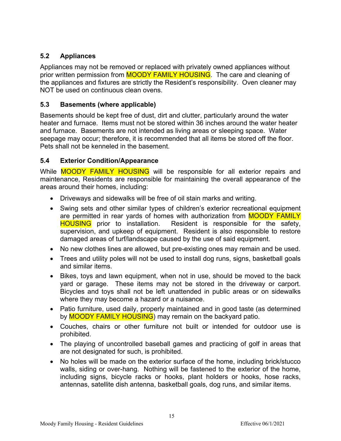# <span id="page-14-0"></span>**5.2 Appliances**

Appliances may not be removed or replaced with privately owned appliances without prior written permission from **MOODY FAMILY HOUSING**. The care and cleaning of the appliances and fixtures are strictly the Resident's responsibility. Oven cleaner may NOT be used on continuous clean ovens.

# <span id="page-14-1"></span>**5.3 Basements (where applicable)**

Basements should be kept free of dust, dirt and clutter, particularly around the water heater and furnace. Items must not be stored within 36 inches around the water heater and furnace. Basements are not intended as living areas or sleeping space. Water seepage may occur; therefore, it is recommended that all items be stored off the floor. Pets shall not be kenneled in the basement.

# <span id="page-14-2"></span>**5.4 Exterior Condition/Appearance**

While **MOODY FAMILY HOUSING** will be responsible for all exterior repairs and maintenance, Residents are responsible for maintaining the overall appearance of the areas around their homes, including:

- Driveways and sidewalks will be free of oil stain marks and writing.
- Swing sets and other similar types of children's exterior recreational equipment are permitted in rear yards of homes with authorization from **MOODY FAMILY** HOUSING prior to installation. Resident is responsible for the safety, supervision, and upkeep of equipment. Resident is also responsible to restore damaged areas of turf/landscape caused by the use of said equipment.
- No new clothes lines are allowed, but pre-existing ones may remain and be used.
- Trees and utility poles will not be used to install dog runs, signs, basketball goals and similar items.
- Bikes, toys and lawn equipment, when not in use, should be moved to the back yard or garage. These items may not be stored in the driveway or carport. Bicycles and toys shall not be left unattended in public areas or on sidewalks where they may become a hazard or a nuisance.
- Patio furniture, used daily, properly maintained and in good taste (as determined by **MOODY FAMILY HOUSING**) may remain on the backyard patio.
- Couches, chairs or other furniture not built or intended for outdoor use is prohibited.
- The playing of uncontrolled baseball games and practicing of golf in areas that are not designated for such, is prohibited.
- No holes will be made on the exterior surface of the home, including brick/stucco walls, siding or over-hang. Nothing will be fastened to the exterior of the home, including signs, bicycle racks or hooks, plant holders or hooks, hose racks, antennas, satellite dish antenna, basketball goals, dog runs, and similar items.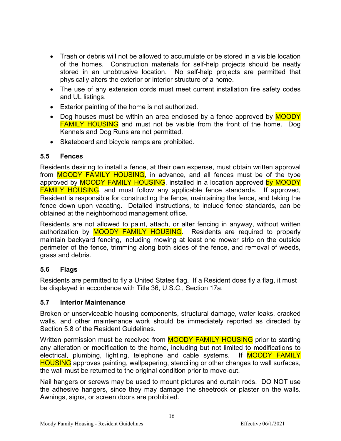- Trash or debris will not be allowed to accumulate or be stored in a visible location of the homes. Construction materials for self-help projects should be neatly stored in an unobtrusive location. No self-help projects are permitted that physically alters the exterior or interior structure of a home.
- The use of any extension cords must meet current installation fire safety codes and UL listings.
- Exterior painting of the home is not authorized.
- Dog houses must be within an area enclosed by a fence approved by **MOODY FAMILY HOUSING** and must not be visible from the front of the home. Dog Kennels and Dog Runs are not permitted.
- Skateboard and bicycle ramps are prohibited.

#### <span id="page-15-0"></span>**5.5 Fences**

Residents desiring to install a fence, at their own expense, must obtain written approval from **MOODY FAMILY HOUSING**, in advance, and all fences must be of the type approved by **MOODY FAMILY HOUSING**, installed in a location approved by MOODY **FAMILY HOUSING**, and must follow any applicable fence standards. If approved, Resident is responsible for constructing the fence, maintaining the fence, and taking the fence down upon vacating. Detailed instructions, to include fence standards, can be obtained at the neighborhood management office.

Residents are not allowed to paint, attach, or alter fencing in anyway, without written authorization by **MOODY FAMILY HOUSING**. Residents are required to properly maintain backyard fencing, including mowing at least one mower strip on the outside perimeter of the fence, trimming along both sides of the fence, and removal of weeds, grass and debris.

# <span id="page-15-1"></span>**5.6 Flags**

Residents are permitted to fly a United States flag. If a Resident does fly a flag, it must be displayed in accordance with Title 36, U.S.C., Section 17a.

# <span id="page-15-2"></span>**5.7 Interior Maintenance**

Broken or unserviceable housing components, structural damage, water leaks, cracked walls, and other maintenance work should be immediately reported as directed by Section 5.8 of the Resident Guidelines.

Written permission must be received from **MOODY FAMILY HOUSING** prior to starting any alteration or modification to the home, including but not limited to modifications to electrical, plumbing, lighting, telephone and cable systems. If MOODY FAMILY HOUSING approves painting, wallpapering, stenciling or other changes to wall surfaces, the wall must be returned to the original condition prior to move-out.

Nail hangers or screws may be used to mount pictures and curtain rods. DO NOT use the adhesive hangers, since they may damage the sheetrock or plaster on the walls. Awnings, signs, or screen doors are prohibited.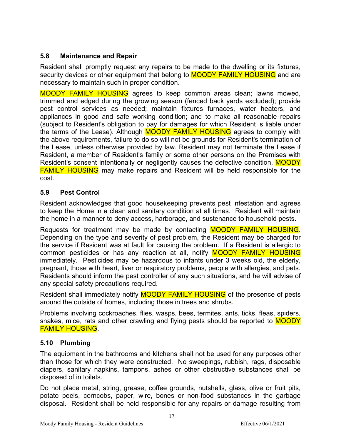# <span id="page-16-0"></span>**5.8 Maintenance and Repair**

Resident shall promptly request any repairs to be made to the dwelling or its fixtures, security devices or other equipment that belong to **MOODY FAMILY HOUSING** and are necessary to maintain such in proper condition.

MOODY FAMILY HOUSING agrees to keep common areas clean; lawns mowed, trimmed and edged during the growing season (fenced back yards excluded); provide pest control services as needed; maintain fixtures furnaces, water heaters, and appliances in good and safe working condition; and to make all reasonable repairs (subject to Resident's obligation to pay for damages for which Resident is liable under the terms of the Lease). Although MOODY FAMILY HOUSING agrees to comply with the above requirements, failure to do so will not be grounds for Resident's termination of the Lease, unless otherwise provided by law. Resident may not terminate the Lease if Resident, a member of Resident's family or some other persons on the Premises with Resident's consent intentionally or negligently causes the defective condition. MOODY FAMILY HOUSING may make repairs and Resident will be held responsible for the cost.

# <span id="page-16-1"></span>**5.9 Pest Control**

Resident acknowledges that good housekeeping prevents pest infestation and agrees to keep the Home in a clean and sanitary condition at all times. Resident will maintain the home in a manner to deny access, harborage, and sustenance to household pests.

Requests for treatment may be made by contacting MOODY FAMILY HOUSING. Depending on the type and severity of pest problem, the Resident may be charged for the service if Resident was at fault for causing the problem. If a Resident is allergic to common pesticides or has any reaction at all, notify **MOODY FAMILY HOUSING** immediately. Pesticides may be hazardous to infants under 3 weeks old, the elderly, pregnant, those with heart, liver or respiratory problems, people with allergies, and pets. Residents should inform the pest controller of any such situations, and he will advise of any special safety precautions required.

Resident shall immediately notify **MOODY FAMILY HOUSING** of the presence of pests around the outside of homes, including those in trees and shrubs.

Problems involving cockroaches, flies, wasps, bees, termites, ants, ticks, fleas, spiders, snakes, mice, rats and other crawling and flying pests should be reported to **MOODY** FAMILY HOUSING.

# <span id="page-16-2"></span>**5.10 Plumbing**

The equipment in the bathrooms and kitchens shall not be used for any purposes other than those for which they were constructed. No sweepings, rubbish, rags, disposable diapers, sanitary napkins, tampons, ashes or other obstructive substances shall be disposed of in toilets.

Do not place metal, string, grease, coffee grounds, nutshells, glass, olive or fruit pits, potato peels, corncobs, paper, wire, bones or non-food substances in the garbage disposal. Resident shall be held responsible for any repairs or damage resulting from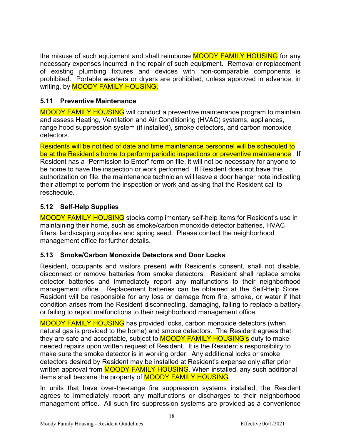the misuse of such equipment and shall reimburse **MOODY FAMILY HOUSING** for any necessary expenses incurred in the repair of such equipment. Removal or replacement of existing plumbing fixtures and devices with non-comparable components is prohibited. Portable washers or dryers are prohibited, unless approved in advance, in writing, by **MOODY FAMILY HOUSING.** 

# <span id="page-17-0"></span>**5.11 Preventive Maintenance**

MOODY FAMILY HOUSING will conduct a preventive maintenance program to maintain and assess Heating, Ventilation and Air Conditioning (HVAC) systems, appliances, range hood suppression system (if installed), smoke detectors, and carbon monoxide detectors.

Residents will be notified of date and time maintenance personnel will be scheduled to be at the Resident's home to perform periodic inspections or preventive maintenance. If Resident has a "Permission to Enter" form on file, it will not be necessary for anyone to be home to have the inspection or work performed. If Resident does not have this authorization on file, the maintenance technician will leave a door hanger note indicating their attempt to perform the inspection or work and asking that the Resident call to reschedule.

# <span id="page-17-1"></span>**5.12 Self-Help Supplies**

MOODY FAMILY HOUSING stocks complimentary self-help items for Resident's use in maintaining their home, such as smoke/carbon monoxide detector batteries, HVAC filters, landscaping supplies and spring seed. Please contact the neighborhood management office for further details.

# <span id="page-17-2"></span>**5.13 Smoke/Carbon Monoxide Detectors and Door Locks**

Resident, occupants and visitors present with Resident's consent, shall not disable, disconnect or remove batteries from smoke detectors. Resident shall replace smoke detector batteries and immediately report any malfunctions to their neighborhood management office. Replacement batteries can be obtained at the Self-Help Store. Resident will be responsible for any loss or damage from fire, smoke, or water if that condition arises from the Resident disconnecting, damaging, failing to replace a battery or failing to report malfunctions to their neighborhood management office.

MOODY FAMILY HOUSING has provided locks, carbon monoxide detectors (when natural gas is provided to the home) and smoke detectors. The Resident agrees that they are safe and acceptable, subject to **MOODY FAMILY HOUSING's** duty to make needed repairs upon written request of Resident. It is the Resident's responsibility to make sure the smoke detector is in working order. Any additional locks or smoke detectors desired by Resident may be installed at Resident's expense only after prior written approval from **MOODY FAMILY HOUSING**. When installed, any such additional items shall become the property of MOODY FAMILY HOUSING.

In units that have over-the-range fire suppression systems installed, the Resident agrees to immediately report any malfunctions or discharges to their neighborhood management office. All such fire suppression systems are provided as a convenience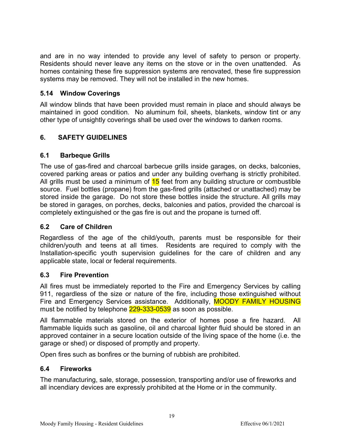and are in no way intended to provide any level of safety to person or property. Residents should never leave any items on the stove or in the oven unattended. As homes containing these fire suppression systems are renovated, these fire suppression systems may be removed. They will not be installed in the new homes.

# <span id="page-18-0"></span>**5.14 Window Coverings**

All window blinds that have been provided must remain in place and should always be maintained in good condition. No aluminum foil, sheets, blankets, window tint or any other type of unsightly coverings shall be used over the windows to darken rooms.

# <span id="page-18-1"></span>**6. SAFETY GUIDELINES**

#### <span id="page-18-2"></span>**6.1 Barbeque Grills**

The use of gas-fired and charcoal barbecue grills inside garages, on decks, balconies, covered parking areas or patios and under any building overhang is strictly prohibited. All grills must be used a minimum of  $15$  feet from any building structure or combustible source. Fuel bottles (propane) from the gas-fired grills (attached or unattached) may be stored inside the garage. Do not store these bottles inside the structure. All grills may be stored in garages, on porches, decks, balconies and patios, provided the charcoal is completely extinguished or the gas fire is out and the propane is turned off.

#### <span id="page-18-3"></span>**6.2 Care of Children**

Regardless of the age of the child/youth, parents must be responsible for their children/youth and teens at all times. Residents are required to comply with the Installation-specific youth supervision guidelines for the care of children and any applicable state, local or federal requirements.

#### <span id="page-18-4"></span>**6.3 Fire Prevention**

All fires must be immediately reported to the Fire and Emergency Services by calling 911, regardless of the size or nature of the fire, including those extinguished without Fire and Emergency Services assistance. Additionally, **MOODY FAMILY HOUSING** must be notified by telephone 229-333-0539 as soon as possible.

All flammable materials stored on the exterior of homes pose a fire hazard. All flammable liquids such as gasoline, oil and charcoal lighter fluid should be stored in an approved container in a secure location outside of the living space of the home (i.e. the garage or shed) or disposed of promptly and property.

Open fires such as bonfires or the burning of rubbish are prohibited.

#### <span id="page-18-5"></span>**6.4 Fireworks**

The manufacturing, sale, storage, possession, transporting and/or use of fireworks and all incendiary devices are expressly prohibited at the Home or in the community.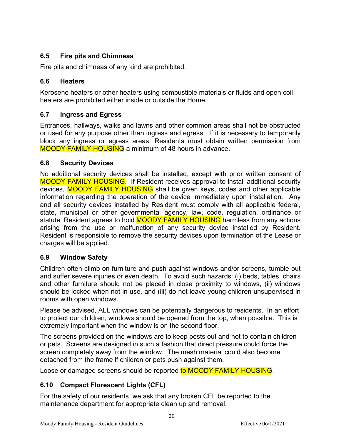# <span id="page-19-0"></span>**6.5 Fire pits and Chimneas**

Fire pits and chimneas of any kind are prohibited.

# <span id="page-19-1"></span>**6.6 Heaters**

Kerosene heaters or other heaters using combustible materials or fluids and open coil heaters are prohibited either inside or outside the Home.

# <span id="page-19-2"></span>**6.7 Ingress and Egress**

Entrances, hallways, walks and lawns and other common areas shall not be obstructed or used for any purpose other than ingress and egress. If it is necessary to temporarily block any ingress or egress areas, Residents must obtain written permission from MOODY FAMILY HOUSING a minimum of 48 hours in advance.

# <span id="page-19-3"></span>**6.8 Security Devices**

No additional security devices shall be installed, except with prior written consent of MOODY FAMILY HOUSING. If Resident receives approval to install additional security devices, MOODY FAMILY HOUSING shall be given keys, codes and other applicable information regarding the operation of the device immediately upon installation. Any and all security devices installed by Resident must comply with all applicable federal, state, municipal or other governmental agency, law, code, regulation, ordinance or statute. Resident agrees to hold **MOODY FAMILY HOUSING** harmless from any actions arising from the use or malfunction of any security device installed by Resident. Resident is responsible to remove the security devices upon termination of the Lease or charges will be applied.

# <span id="page-19-4"></span>**6.9 Window Safety**

Children often climb on furniture and push against windows and/or screens, tumble out and suffer severe injuries or even death. To avoid such hazards: (i) beds, tables, chairs and other furniture should not be placed in close proximity to windows, (ii) windows should be locked when not in use, and (iii) do not leave young children unsupervised in rooms with open windows.

Please be advised, ALL windows can be potentially dangerous to residents. In an effort to protect our children, windows should be opened from the top, when possible. This is extremely important when the window is on the second floor.

The screens provided on the windows are to keep pests out and not to contain children or pets. Screens are designed in such a fashion that direct pressure could force the screen completely away from the window. The mesh material could also become detached from the frame if children or pets push against them.

Loose or damaged screens should be reported to MOODY FAMILY HOUSING.

# <span id="page-19-5"></span>**6.10 Compact Florescent Lights (CFL)**

For the safety of our residents, we ask that any broken CFL be reported to the maintenance department for appropriate clean up and removal.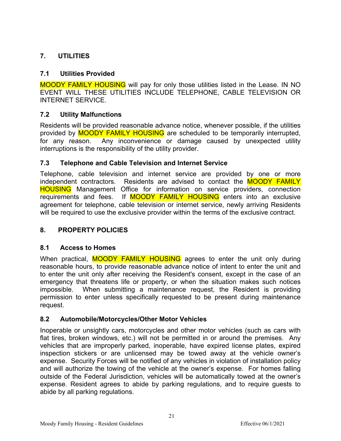# <span id="page-20-0"></span>**7. UTILITIES**

# <span id="page-20-1"></span>**7.1 Utilities Provided**

MOODY FAMILY HOUSING will pay for only those utilities listed in the Lease. IN NO EVENT WILL THESE UTILITIES INCLUDE TELEPHONE, CABLE TELEVISION OR INTERNET SERVICE.

# <span id="page-20-2"></span>**7.2 Utility Malfunctions**

Residents will be provided reasonable advance notice, whenever possible, if the utilities provided by **MOODY FAMILY HOUSING** are scheduled to be temporarily interrupted, for any reason. Any inconvenience or damage caused by unexpected utility interruptions is the responsibility of the utility provider.

# <span id="page-20-3"></span>**7.3 Telephone and Cable Television and Internet Service**

Telephone, cable television and internet service are provided by one or more independent contractors. Residents are advised to contact the **MOODY FAMILY** HOUSING Management Office for information on service providers, connection requirements and fees. If MOODY FAMILY HOUSING enters into an exclusive agreement for telephone, cable television or internet service, newly arriving Residents will be required to use the exclusive provider within the terms of the exclusive contract.

# <span id="page-20-4"></span>**8. PROPERTY POLICIES**

# <span id="page-20-5"></span>**8.1 Access to Homes**

When practical, **MOODY FAMILY HOUSING** agrees to enter the unit only during reasonable hours, to provide reasonable advance notice of intent to enter the unit and to enter the unit only after receiving the Resident's consent, except in the case of an emergency that threatens life or property, or when the situation makes such notices impossible. When submitting a maintenance request, the Resident is providing permission to enter unless specifically requested to be present during maintenance request.

# <span id="page-20-6"></span>**8.2 Automobile/Motorcycles/Other Motor Vehicles**

Inoperable or unsightly cars, motorcycles and other motor vehicles (such as cars with flat tires, broken windows, etc.) will not be permitted in or around the premises. Any vehicles that are improperly parked, inoperable, have expired license plates, expired inspection stickers or are unlicensed may be towed away at the vehicle owner's expense. Security Forces will be notified of any vehicles in violation of installation policy and will authorize the towing of the vehicle at the owner's expense. For homes falling outside of the Federal Jurisdiction, vehicles will be automatically towed at the owner's expense. Resident agrees to abide by parking regulations, and to require guests to abide by all parking regulations.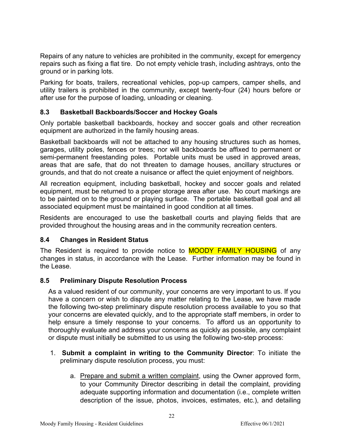Repairs of any nature to vehicles are prohibited in the community, except for emergency repairs such as fixing a flat tire. Do not empty vehicle trash, including ashtrays, onto the ground or in parking lots.

Parking for boats, trailers, recreational vehicles, pop-up campers, camper shells, and utility trailers is prohibited in the community, except twenty-four (24) hours before or after use for the purpose of loading, unloading or cleaning.

# <span id="page-21-0"></span>**8.3 Basketball Backboards/Soccer and Hockey Goals**

Only portable basketball backboards, hockey and soccer goals and other recreation equipment are authorized in the family housing areas.

Basketball backboards will not be attached to any housing structures such as homes, garages, utility poles, fences or trees; nor will backboards be affixed to permanent or semi-permanent freestanding poles. Portable units must be used in approved areas, areas that are safe, that do not threaten to damage houses, ancillary structures or grounds, and that do not create a nuisance or affect the quiet enjoyment of neighbors.

All recreation equipment, including basketball, hockey and soccer goals and related equipment, must be returned to a proper storage area after use. No court markings are to be painted on to the ground or playing surface. The portable basketball goal and all associated equipment must be maintained in good condition at all times.

Residents are encouraged to use the basketball courts and playing fields that are provided throughout the housing areas and in the community recreation centers.

# <span id="page-21-1"></span>**8.4 Changes in Resident Status**

The Resident is required to provide notice to **MOODY FAMILY HOUSING** of any changes in status, in accordance with the Lease. Further information may be found in the Lease.

# <span id="page-21-2"></span>**8.5 Preliminary Dispute Resolution Process**

As a valued resident of our community, your concerns are very important to us. If you have a concern or wish to dispute any matter relating to the Lease, we have made the following two-step preliminary dispute resolution process available to you so that your concerns are elevated quickly, and to the appropriate staff members, in order to help ensure a timely response to your concerns. To afford us an opportunity to thoroughly evaluate and address your concerns as quickly as possible, any complaint or dispute must initially be submitted to us using the following two-step process:

- 1. **Submit a complaint in writing to the Community Director**: To initiate the preliminary dispute resolution process, you must:
	- a. Prepare and submit a written complaint, using the Owner approved form, to your Community Director describing in detail the complaint, providing adequate supporting information and documentation (i.e., complete written description of the issue, photos, invoices, estimates, etc.), and detailing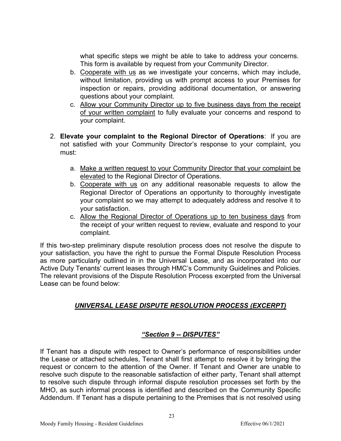what specific steps we might be able to take to address your concerns. This form is available by request from your Community Director.

- b. Cooperate with us as we investigate your concerns, which may include, without limitation, providing us with prompt access to your Premises for inspection or repairs, providing additional documentation, or answering questions about your complaint.
- c. Allow your Community Director up to five business days from the receipt of your written complaint to fully evaluate your concerns and respond to your complaint.
- 2. **Elevate your complaint to the Regional Director of Operations**: If you are not satisfied with your Community Director's response to your complaint, you must:
	- a. Make a written request to your Community Director that your complaint be elevated to the Regional Director of Operations.
	- b. Cooperate with us on any additional reasonable requests to allow the Regional Director of Operations an opportunity to thoroughly investigate your complaint so we may attempt to adequately address and resolve it to your satisfaction.
	- c. Allow the Regional Director of Operations up to ten business days from the receipt of your written request to review, evaluate and respond to your complaint.

If this two-step preliminary dispute resolution process does not resolve the dispute to your satisfaction, you have the right to pursue the Formal Dispute Resolution Process as more particularly outlined in in the Universal Lease, and as incorporated into our Active Duty Tenants' current leases through HMC's Community Guidelines and Policies. The relevant provisions of the Dispute Resolution Process excerpted from the Universal Lease can be found below:

# <span id="page-22-0"></span>*UNIVERSAL LEASE DISPUTE RESOLUTION PROCESS (EXCERPT)*

# *"Section 9 -- DISPUTES"*

<span id="page-22-1"></span>If Tenant has a dispute with respect to Owner's performance of responsibilities under the Lease or attached schedules, Tenant shall first attempt to resolve it by bringing the request or concern to the attention of the Owner. If Tenant and Owner are unable to resolve such dispute to the reasonable satisfaction of either party, Tenant shall attempt to resolve such dispute through informal dispute resolution processes set forth by the MHO, as such informal process is identified and described on the Community Specific Addendum. If Tenant has a dispute pertaining to the Premises that is not resolved using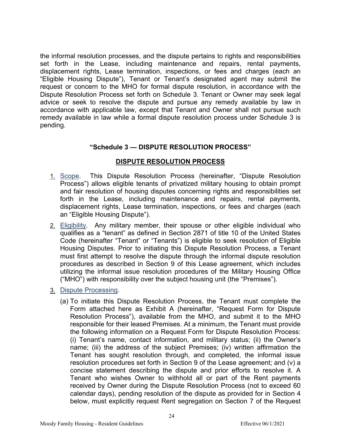the informal resolution processes, and the dispute pertains to rights and responsibilities set forth in the Lease, including maintenance and repairs, rental payments, displacement rights, Lease termination, inspections, or fees and charges (each an "Eligible Housing Dispute"), Tenant or Tenant's designated agent may submit the request or concern to the MHO for formal dispute resolution, in accordance with the Dispute Resolution Process set forth on Schedule 3. Tenant or Owner may seek legal advice or seek to resolve the dispute and pursue any remedy available by law in accordance with applicable law, except that Tenant and Owner shall not pursue such remedy available in law while a formal dispute resolution process under Schedule 3 is pending.

#### **"Schedule 3 — DISPUTE RESOLUTION PROCESS"**

#### **DISPUTE RESOLUTION PROCESS**

- <span id="page-23-0"></span>1. Scope. This Dispute Resolution Process (hereinafter, "Dispute Resolution Process") allows eligible tenants of privatized military housing to obtain prompt and fair resolution of housing disputes concerning rights and responsibilities set forth in the Lease, including maintenance and repairs, rental payments, displacement rights, Lease termination, inspections, or fees and charges (each an "Eligible Housing Dispute").
- 2. Eligibility. Any military member, their spouse or other eligible individual who qualifies as a "tenant" as defined in Section 2871 of title 10 of the United States Code (hereinafter "Tenant" or "Tenants") is eligible to seek resolution of Eligible Housing Disputes. Prior to initiating this Dispute Resolution Process, a Tenant must first attempt to resolve the dispute through the informal dispute resolution procedures as described in Section 9 of this Lease agreement, which includes utilizing the informal issue resolution procedures of the Military Housing Office ("MHO") with responsibility over the subject housing unit (the "Premises").
- 3. Dispute Processing.
	- (a) To initiate this Dispute Resolution Process, the Tenant must complete the Form attached here as Exhibit A (hereinafter, "Request Form for Dispute Resolution Process"), available from the MHO, and submit it to the MHO responsible for their leased Premises. At a minimum, the Tenant must provide the following information on a Request Form for Dispute Resolution Process: (i) Tenant's name, contact information, and military status; (ii) the Owner's name; (iii) the address of the subject Premises; (iv) written affirmation the Tenant has sought resolution through, and completed, the informal issue resolution procedures set forth in Section 9 of the Lease agreement; and (v) a concise statement describing the dispute and prior efforts to resolve it. A Tenant who wishes Owner to withhold all or part of the Rent payments received by Owner during the Dispute Resolution Process (not to exceed 60 calendar days), pending resolution of the dispute as provided for in Section 4 below, must explicitly request Rent segregation on Section 7 of the Request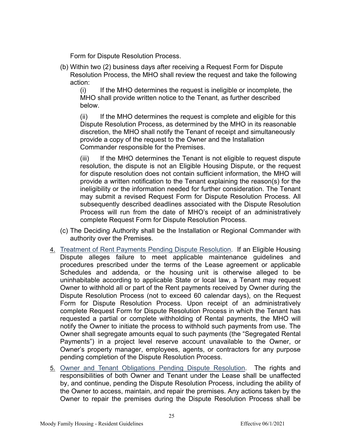Form for Dispute Resolution Process.

(b) Within two (2) business days after receiving a Request Form for Dispute Resolution Process, the MHO shall review the request and take the following action:

(i) If the MHO determines the request is ineligible or incomplete, the MHO shall provide written notice to the Tenant, as further described below.

(ii) If the MHO determines the request is complete and eligible for this Dispute Resolution Process, as determined by the MHO in its reasonable discretion, the MHO shall notify the Tenant of receipt and simultaneously provide a copy of the request to the Owner and the Installation Commander responsible for the Premises.

(iii) If the MHO determines the Tenant is not eligible to request dispute resolution, the dispute is not an Eligible Housing Dispute, or the request for dispute resolution does not contain sufficient information, the MHO will provide a written notification to the Tenant explaining the reason(s) for the ineligibility or the information needed for further consideration. The Tenant may submit a revised Request Form for Dispute Resolution Process. All subsequently described deadlines associated with the Dispute Resolution Process will run from the date of MHO's receipt of an administratively complete Request Form for Dispute Resolution Process.

- (c) The Deciding Authority shall be the Installation or Regional Commander with authority over the Premises.
- 4. Treatment of Rent Payments Pending Dispute Resolution. If an Eligible Housing Dispute alleges failure to meet applicable maintenance guidelines and procedures prescribed under the terms of the Lease agreement or applicable Schedules and addenda, or the housing unit is otherwise alleged to be uninhabitable according to applicable State or local law, a Tenant may request Owner to withhold all or part of the Rent payments received by Owner during the Dispute Resolution Process (not to exceed 60 calendar days), on the Request Form for Dispute Resolution Process. Upon receipt of an administratively complete Request Form for Dispute Resolution Process in which the Tenant has requested a partial or complete withholding of Rental payments, the MHO will notify the Owner to initiate the process to withhold such payments from use. The Owner shall segregate amounts equal to such payments (the "Segregated Rental Payments") in a project level reserve account unavailable to the Owner, or Owner's property manager, employees, agents, or contractors for any purpose pending completion of the Dispute Resolution Process.
- 5. Owner and Tenant Obligations Pending Dispute Resolution. The rights and responsibilities of both Owner and Tenant under the Lease shall be unaffected by, and continue, pending the Dispute Resolution Process, including the ability of the Owner to access, maintain, and repair the premises. Any actions taken by the Owner to repair the premises during the Dispute Resolution Process shall be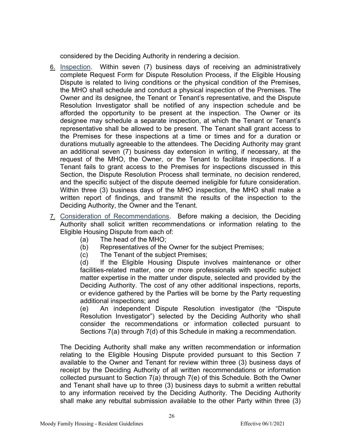considered by the Deciding Authority in rendering a decision.

- 6. Inspection. Within seven (7) business days of receiving an administratively complete Request Form for Dispute Resolution Process, if the Eligible Housing Dispute is related to living conditions or the physical condition of the Premises, the MHO shall schedule and conduct a physical inspection of the Premises. The Owner and its designee, the Tenant or Tenant's representative, and the Dispute Resolution Investigator shall be notified of any inspection schedule and be afforded the opportunity to be present at the inspection. The Owner or its designee may schedule a separate inspection, at which the Tenant or Tenant's representative shall be allowed to be present. The Tenant shall grant access to the Premises for these inspections at a time or times and for a duration or durations mutually agreeable to the attendees. The Deciding Authority may grant an additional seven (7) business day extension in writing, if necessary, at the request of the MHO, the Owner, or the Tenant to facilitate inspections. If a Tenant fails to grant access to the Premises for inspections discussed in this Section, the Dispute Resolution Process shall terminate, no decision rendered, and the specific subject of the dispute deemed ineligible for future consideration. Within three (3) business days of the MHO inspection, the MHO shall make a written report of findings, and transmit the results of the inspection to the Deciding Authority, the Owner and the Tenant.
- 7. Consideration of Recommendations. Before making a decision, the Deciding Authority shall solicit written recommendations or information relating to the Eligible Housing Dispute from each of:
	- (a) The head of the MHO;
	- (b) Representatives of the Owner for the subject Premises;
	- (c) The Tenant of the subject Premises;

(d) If the Eligible Housing Dispute involves maintenance or other facilities-related matter, one or more professionals with specific subject matter expertise in the matter under dispute, selected and provided by the Deciding Authority. The cost of any other additional inspections, reports, or evidence gathered by the Parties will be borne by the Party requesting additional inspections; and

(e) An independent Dispute Resolution investigator (the "Dispute Resolution Investigator") selected by the Deciding Authority who shall consider the recommendations or information collected pursuant to Sections 7(a) through 7(d) of this Schedule in making a recommendation.

The Deciding Authority shall make any written recommendation or information relating to the Eligible Housing Dispute provided pursuant to this Section 7 available to the Owner and Tenant for review within three (3) business days of receipt by the Deciding Authority of all written recommendations or information collected pursuant to Section 7(a) through 7(e) of this Schedule. Both the Owner and Tenant shall have up to three (3) business days to submit a written rebuttal to any information received by the Deciding Authority. The Deciding Authority shall make any rebuttal submission available to the other Party within three (3)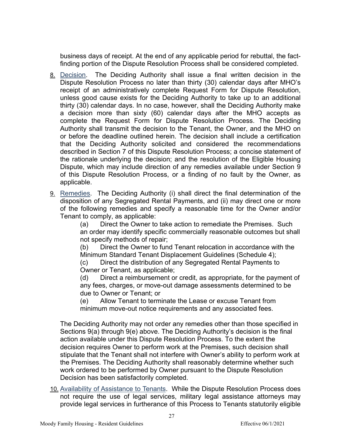business days of receipt. At the end of any applicable period for rebuttal, the factfinding portion of the Dispute Resolution Process shall be considered completed.

- 8. Decision. The Deciding Authority shall issue a final written decision in the Dispute Resolution Process no later than thirty (30) calendar days after MHO's receipt of an administratively complete Request Form for Dispute Resolution, unless good cause exists for the Deciding Authority to take up to an additional thirty (30) calendar days. In no case, however, shall the Deciding Authority make a decision more than sixty (60) calendar days after the MHO accepts as complete the Request Form for Dispute Resolution Process. The Deciding Authority shall transmit the decision to the Tenant, the Owner, and the MHO on or before the deadline outlined herein. The decision shall include a certification that the Deciding Authority solicited and considered the recommendations described in Section 7 of this Dispute Resolution Process; a concise statement of the rationale underlying the decision; and the resolution of the Eligible Housing Dispute, which may include direction of any remedies available under Section 9 of this Dispute Resolution Process, or a finding of no fault by the Owner, as applicable.
- 9. Remedies. The Deciding Authority (i) shall direct the final determination of the disposition of any Segregated Rental Payments, and (ii) may direct one or more of the following remedies and specify a reasonable time for the Owner and/or Tenant to comply, as applicable:

(a) Direct the Owner to take action to remediate the Premises. Such an order may identify specific commercially reasonable outcomes but shall not specify methods of repair;

(b) Direct the Owner to fund Tenant relocation in accordance with the Minimum Standard Tenant Displacement Guidelines (Schedule 4);

(c) Direct the distribution of any Segregated Rental Payments to Owner or Tenant, as applicable;

(d) Direct a reimbursement or credit, as appropriate, for the payment of any fees, charges, or move-out damage assessments determined to be due to Owner or Tenant; or

(e) Allow Tenant to terminate the Lease or excuse Tenant from minimum move-out notice requirements and any associated fees.

The Deciding Authority may not order any remedies other than those specified in Sections 9(a) through 9(e) above. The Deciding Authority's decision is the final action available under this Dispute Resolution Process. To the extent the decision requires Owner to perform work at the Premises, such decision shall stipulate that the Tenant shall not interfere with Owner's ability to perform work at the Premises. The Deciding Authority shall reasonably determine whether such work ordered to be performed by Owner pursuant to the Dispute Resolution Decision has been satisfactorily completed.

10. Availability of Assistance to Tenants. While the Dispute Resolution Process does not require the use of legal services, military legal assistance attorneys may provide legal services in furtherance of this Process to Tenants statutorily eligible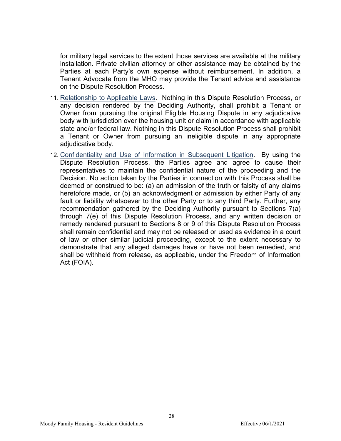for military legal services to the extent those services are available at the military installation. Private civilian attorney or other assistance may be obtained by the Parties at each Party's own expense without reimbursement. In addition, a Tenant Advocate from the MHO may provide the Tenant advice and assistance on the Dispute Resolution Process.

- 11. Relationship to Applicable Laws. Nothing in this Dispute Resolution Process, or any decision rendered by the Deciding Authority, shall prohibit a Tenant or Owner from pursuing the original Eligible Housing Dispute in any adjudicative body with jurisdiction over the housing unit or claim in accordance with applicable state and/or federal law. Nothing in this Dispute Resolution Process shall prohibit a Tenant or Owner from pursuing an ineligible dispute in any appropriate adjudicative body.
- 12. Confidentiality and Use of Information in Subsequent Litigation. By using the Dispute Resolution Process, the Parties agree and agree to cause their representatives to maintain the confidential nature of the proceeding and the Decision. No action taken by the Parties in connection with this Process shall be deemed or construed to be: (a) an admission of the truth or falsity of any claims heretofore made, or (b) an acknowledgment or admission by either Party of any fault or liability whatsoever to the other Party or to any third Party. Further, any recommendation gathered by the Deciding Authority pursuant to Sections 7(a) through 7(e) of this Dispute Resolution Process, and any written decision or remedy rendered pursuant to Sections 8 or 9 of this Dispute Resolution Process shall remain confidential and may not be released or used as evidence in a court of law or other similar judicial proceeding, except to the extent necessary to demonstrate that any alleged damages have or have not been remedied, and shall be withheld from release, as applicable, under the Freedom of Information Act (FOIA).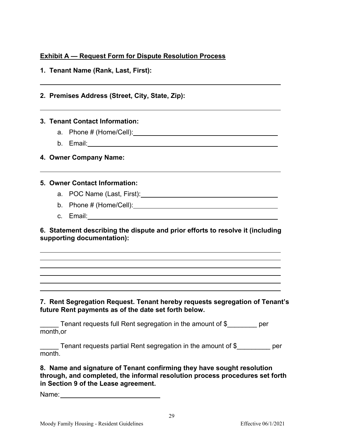# **Exhibit A — Request Form for Dispute Resolution Process**

|  | 1. Tenant Name (Rank, Last, First): |  |  |  |  |
|--|-------------------------------------|--|--|--|--|
|--|-------------------------------------|--|--|--|--|

#### **2. Premises Address (Street, City, State, Zip):**

#### **3. Tenant Contact Information:**

- a. Phone # (Home/Cell):
- b. Email:

# **4. Owner Company Name:**

#### **5. Owner Contact Information:**

- a. POC Name (Last, First): 2008 and 2008 and 2008 and 2008 and 2008 and 2008 and 2008 and 2008 and 2008 and 20
- b. Phone # (Home/Cell):
- c. Email:

**6. Statement describing the dispute and prior efforts to resolve it (including supporting documentation):**

**7. Rent Segregation Request. Tenant hereby requests segregation of Tenant's future Rent payments as of the date set forth below.**

Tenant requests full Rent segregation in the amount of  $\$$  states the per month,or

Tenant requests partial Rent segregation in the amount of  $\$$  states the per month.

**8. Name and signature of Tenant confirming they have sought resolution through, and completed, the informal resolution process procedures set forth in Section 9 of the Lease agreement.**

Name: <u>\_\_\_\_\_\_\_\_\_\_\_\_\_\_\_\_\_\_\_\_\_\_\_\_\_</u>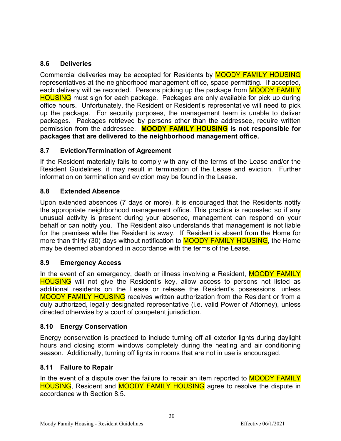# <span id="page-29-0"></span>**8.6 Deliveries**

Commercial deliveries may be accepted for Residents by MOODY FAMILY HOUSING representatives at the neighborhood management office, space permitting. If accepted, each delivery will be recorded. Persons picking up the package from **MOODY FAMILY HOUSING** must sign for each package. Packages are only available for pick up during office hours. Unfortunately, the Resident or Resident's representative will need to pick up the package. For security purposes, the management team is unable to deliver packages. Packages retrieved by persons other than the addressee, require written permission from the addressee. **MOODY FAMILY HOUSING is not responsible for packages that are delivered to the neighborhood management office.**

# <span id="page-29-1"></span>**8.7 Eviction/Termination of Agreement**

If the Resident materially fails to comply with any of the terms of the Lease and/or the Resident Guidelines, it may result in termination of the Lease and eviction. Further information on termination and eviction may be found in the Lease.

# <span id="page-29-2"></span>**8.8 Extended Absence**

Upon extended absences (7 days or more), it is encouraged that the Residents notify the appropriate neighborhood management office. This practice is requested so if any unusual activity is present during your absence, management can respond on your behalf or can notify you. The Resident also understands that management is not liable for the premises while the Resident is away. If Resident is absent from the Home for more than thirty (30) days without notification to **MOODY FAMILY HOUSING**, the Home may be deemed abandoned in accordance with the terms of the Lease.

# <span id="page-29-3"></span>**8.9 Emergency Access**

In the event of an emergency, death or illness involving a Resident, **MOODY FAMILY HOUSING** will not give the Resident's key, allow access to persons not listed as additional residents on the Lease or release the Resident's possessions, unless MOODY FAMILY HOUSING receives written authorization from the Resident or from a duly authorized, legally designated representative (i.e. valid Power of Attorney), unless directed otherwise by a court of competent jurisdiction.

# <span id="page-29-4"></span>**8.10 Energy Conservation**

Energy conservation is practiced to include turning off all exterior lights during daylight hours and closing storm windows completely during the heating and air conditioning season. Additionally, turning off lights in rooms that are not in use is encouraged.

# <span id="page-29-5"></span>**8.11 Failure to Repair**

In the event of a dispute over the failure to repair an item reported to **MOODY FAMILY** HOUSING, Resident and MOODY FAMILY HOUSING agree to resolve the dispute in accordance with Section 8.5.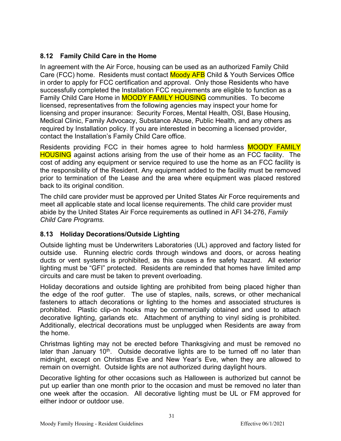# <span id="page-30-0"></span>**8.12 Family Child Care in the Home**

In agreement with the Air Force, housing can be used as an authorized Family Child Care (FCC) home. Residents must contact Moody AFB Child & Youth Services Office in order to apply for FCC certification and approval. Only those Residents who have successfully completed the Installation FCC requirements are eligible to function as a Family Child Care Home in **MOODY FAMILY HOUSING** communities. To become licensed, representatives from the following agencies may inspect your home for licensing and proper insurance: Security Forces, Mental Health, OSI, Base Housing, Medical Clinic, Family Advocacy, Substance Abuse, Public Health, and any others as required by Installation policy. If you are interested in becoming a licensed provider, contact the Installation's Family Child Care office.

Residents providing FCC in their homes agree to hold harmless **MOODY FAMILY HOUSING** against actions arising from the use of their home as an FCC facility. The cost of adding any equipment or service required to use the home as an FCC facility is the responsibility of the Resident. Any equipment added to the facility must be removed prior to termination of the Lease and the area where equipment was placed restored back to its original condition.

The child care provider must be approved per United States Air Force requirements and meet all applicable state and local license requirements. The child care provider must abide by the United States Air Force requirements as outlined in AFI 34-276, *Family Child Care Programs.*

# <span id="page-30-1"></span>**8.13 Holiday Decorations/Outside Lighting**

Outside lighting must be Underwriters Laboratories (UL) approved and factory listed for outside use. Running electric cords through windows and doors, or across heating ducts or vent systems is prohibited, as this causes a fire safety hazard. All exterior lighting must be "GFI" protected. Residents are reminded that homes have limited amp circuits and care must be taken to prevent overloading.

Holiday decorations and outside lighting are prohibited from being placed higher than the edge of the roof gutter. The use of staples, nails, screws, or other mechanical fasteners to attach decorations or lighting to the homes and associated structures is prohibited. Plastic clip-on hooks may be commercially obtained and used to attach decorative lighting, garlands etc. Attachment of anything to vinyl siding is prohibited. Additionally, electrical decorations must be unplugged when Residents are away from the home.

Christmas lighting may not be erected before Thanksgiving and must be removed no later than January  $10<sup>th</sup>$ . Outside decorative lights are to be turned off no later than midnight, except on Christmas Eve and New Year's Eve, when they are allowed to remain on overnight. Outside lights are not authorized during daylight hours.

Decorative lighting for other occasions such as Halloween is authorized but cannot be put up earlier than one month prior to the occasion and must be removed no later than one week after the occasion. All decorative lighting must be UL or FM approved for either indoor or outdoor use.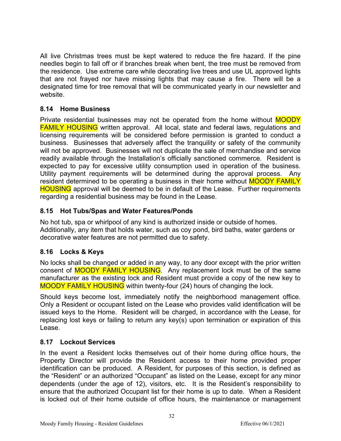All live Christmas trees must be kept watered to reduce the fire hazard. If the pine needles begin to fall off or if branches break when bent, the tree must be removed from the residence. Use extreme care while decorating live trees and use UL approved lights that are not frayed nor have missing lights that may cause a fire. There will be a designated time for tree removal that will be communicated yearly in our newsletter and website.

# <span id="page-31-0"></span>**8.14 Home Business**

Private residential businesses may not be operated from the home without **MOODY** FAMILY HOUSING written approval. All local, state and federal laws, regulations and licensing requirements will be considered before permission is granted to conduct a business. Businesses that adversely affect the tranquility or safety of the community will not be approved. Businesses will not duplicate the sale of merchandise and service readily available through the Installation's officially sanctioned commerce. Resident is expected to pay for excessive utility consumption used in operation of the business. Utility payment requirements will be determined during the approval process. Any resident determined to be operating a business in their home without **MOODY FAMILY HOUSING** approval will be deemed to be in default of the Lease. Further requirements regarding a residential business may be found in the Lease.

# <span id="page-31-1"></span>**8.15 Hot Tubs/Spas and Water Features/Ponds**

No hot tub, spa or whirlpool of any kind is authorized inside or outside of homes. Additionally, any item that holds water, such as coy pond, bird baths, water gardens or decorative water features are not permitted due to safety.

# <span id="page-31-2"></span>**8.16 Locks & Keys**

No locks shall be changed or added in any way, to any door except with the prior written consent of **MOODY FAMILY HOUSING**. Any replacement lock must be of the same manufacturer as the existing lock and Resident must provide a copy of the new key to MOODY FAMILY HOUSING within twenty-four (24) hours of changing the lock.

Should keys become lost, immediately notify the neighborhood management office. Only a Resident or occupant listed on the Lease who provides valid identification will be issued keys to the Home. Resident will be charged, in accordance with the Lease, for replacing lost keys or failing to return any key(s) upon termination or expiration of this Lease.

#### <span id="page-31-3"></span>**8.17 Lockout Services**

In the event a Resident locks themselves out of their home during office hours, the Property Director will provide the Resident access to their home provided proper identification can be produced. A Resident, for purposes of this section, is defined as the "Resident" or an authorized "Occupant" as listed on the Lease, except for any minor dependents (under the age of 12), visitors, etc. It is the Resident's responsibility to ensure that the authorized Occupant list for their home is up to date. When a Resident is locked out of their home outside of office hours, the maintenance or management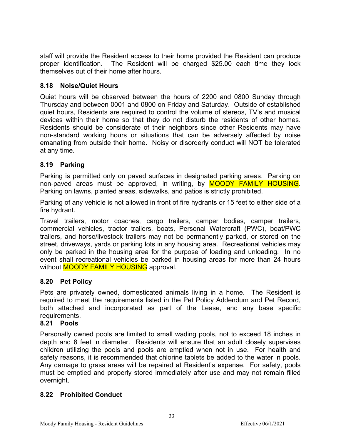staff will provide the Resident access to their home provided the Resident can produce proper identification. The Resident will be charged \$25.00 each time they lock themselves out of their home after hours.

# <span id="page-32-0"></span>**8.18 Noise/Quiet Hours**

Quiet hours will be observed between the hours of 2200 and 0800 Sunday through Thursday and between 0001 and 0800 on Friday and Saturday. Outside of established quiet hours, Residents are required to control the volume of stereos, TV's and musical devices within their home so that they do not disturb the residents of other homes. Residents should be considerate of their neighbors since other Residents may have non-standard working hours or situations that can be adversely affected by noise emanating from outside their home. Noisy or disorderly conduct will NOT be tolerated at any time.

# <span id="page-32-1"></span>**8.19 Parking**

Parking is permitted only on paved surfaces in designated parking areas. Parking on non-paved areas must be approved, in writing, by **MOODY FAMILY HOUSING**. Parking on lawns, planted areas, sidewalks, and patios is strictly prohibited.

Parking of any vehicle is not allowed in front of fire hydrants or 15 feet to either side of a fire hydrant.

Travel trailers, motor coaches, cargo trailers, camper bodies, camper trailers, commercial vehicles, tractor trailers, boats, Personal Watercraft (PWC), boat/PWC trailers, and horse/livestock trailers may not be permanently parked, or stored on the street, driveways, yards or parking lots in any housing area. Recreational vehicles may only be parked in the housing area for the purpose of loading and unloading. In no event shall recreational vehicles be parked in housing areas for more than 24 hours without **MOODY FAMILY HOUSING** approval.

# <span id="page-32-2"></span>**8.20 Pet Policy**

Pets are privately owned, domesticated animals living in a home. The Resident is required to meet the requirements listed in the Pet Policy Addendum and Pet Record, both attached and incorporated as part of the Lease, and any base specific requirements.

# <span id="page-32-3"></span>**8.21 Pools**

Personally owned pools are limited to small wading pools, not to exceed 18 inches in depth and 8 feet in diameter. Residents will ensure that an adult closely supervises children utilizing the pools and pools are emptied when not in use. For health and safety reasons, it is recommended that chlorine tablets be added to the water in pools. Any damage to grass areas will be repaired at Resident's expense. For safety, pools must be emptied and properly stored immediately after use and may not remain filled overnight.

33

# <span id="page-32-4"></span>**8.22 Prohibited Conduct**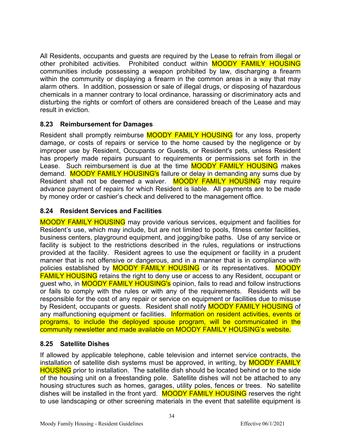All Residents, occupants and guests are required by the Lease to refrain from illegal or other prohibited activities. Prohibited conduct within MOODY FAMILY HOUSING communities include possessing a weapon prohibited by law, discharging a firearm within the community or displaying a firearm in the common areas in a way that may alarm others. In addition, possession or sale of illegal drugs, or disposing of hazardous chemicals in a manner contrary to local ordinance, harassing or discriminatory acts and disturbing the rights or comfort of others are considered breach of the Lease and may result in eviction.

# <span id="page-33-0"></span>**8.23 Reimbursement for Damages**

Resident shall promptly reimburse **MOODY FAMILY HOUSING** for any loss, property damage, or costs of repairs or service to the home caused by the negligence or by improper use by Resident, Occupants or Guests, or Resident's pets, unless Resident has properly made repairs pursuant to requirements or permissions set forth in the Lease. Such reimbursement is due at the time **MOODY FAMILY HOUSING** makes demand. MOODY FAMILY HOUSING's failure or delay in demanding any sums due by Resident shall not be deemed a waiver. MOODY FAMILY HOUSING may require advance payment of repairs for which Resident is liable. All payments are to be made by money order or cashier's check and delivered to the management office.

#### <span id="page-33-1"></span>**8.24 Resident Services and Facilities**

MOODY FAMILY HOUSING may provide various services, equipment and facilities for Resident's use, which may include, but are not limited to pools, fitness center facilities, business centers, playground equipment, and jogging/bike paths. Use of any service or facility is subject to the restrictions described in the rules, regulations or instructions provided at the facility. Resident agrees to use the equipment or facility in a prudent manner that is not offensive or dangerous, and in a manner that is in compliance with policies established by **MOODY FAMILY HOUSING** or its representatives. MOODY FAMILY HOUSING retains the right to deny use or access to any Resident, occupant or guest who, in MOODY FAMILY HOUSING's opinion, fails to read and follow instructions or fails to comply with the rules or with any of the requirements. Residents will be responsible for the cost of any repair or service on equipment or facilities due to misuse by Resident, occupants or quests. Resident shall notify **MOODY FAMILY HOUSING** of any malfunctioning equipment or facilities. Information on resident activities, events or programs, to include the deployed spouse program, will be communicated in the community newsletter and made available on MOODY FAMILY HOUSING's website.

# <span id="page-33-2"></span>**8.25 Satellite Dishes**

If allowed by applicable telephone, cable television and internet service contracts, the installation of satellite dish systems must be approved, in writing, by **MOODY FAMILY** HOUSING prior to installation. The satellite dish should be located behind or to the side of the housing unit on a freestanding pole. Satellite dishes will not be attached to any housing structures such as homes, garages, utility poles, fences or trees. No satellite dishes will be installed in the front yard. MOODY FAMILY HOUSING reserves the right to use landscaping or other screening materials in the event that satellite equipment is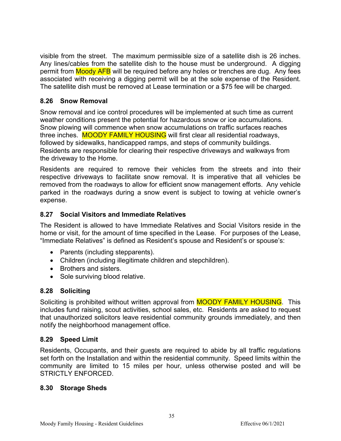visible from the street. The maximum permissible size of a satellite dish is 26 inches. Any lines/cables from the satellite dish to the house must be underground. A digging permit from **Moody AFB** will be required before any holes or trenches are dug. Any fees associated with receiving a digging permit will be at the sole expense of the Resident. The satellite dish must be removed at Lease termination or a \$75 fee will be charged.

# <span id="page-34-0"></span>**8.26 Snow Removal**

Snow removal and ice control procedures will be implemented at such time as current weather conditions present the potential for hazardous snow or ice accumulations. Snow plowing will commence when snow accumulations on traffic surfaces reaches three inches. MOODY FAMILY HOUSING will first clear all residential roadways, followed by sidewalks, handicapped ramps, and steps of community buildings. Residents are responsible for clearing their respective driveways and walkways from the driveway to the Home.

Residents are required to remove their vehicles from the streets and into their respective driveways to facilitate snow removal. It is imperative that all vehicles be removed from the roadways to allow for efficient snow management efforts. Any vehicle parked in the roadways during a snow event is subject to towing at vehicle owner's expense.

# <span id="page-34-1"></span>**8.27 Social Visitors and Immediate Relatives**

The Resident is allowed to have Immediate Relatives and Social Visitors reside in the home or visit, for the amount of time specified in the Lease. For purposes of the Lease, "Immediate Relatives" is defined as Resident's spouse and Resident's or spouse's:

- Parents (including stepparents).
- Children (including illegitimate children and stepchildren).
- Brothers and sisters.
- Sole surviving blood relative.

# <span id="page-34-2"></span>**8.28 Soliciting**

Soliciting is prohibited without written approval from **MOODY FAMILY HOUSING**. This includes fund raising, scout activities, school sales, etc. Residents are asked to request that unauthorized solicitors leave residential community grounds immediately, and then notify the neighborhood management office.

# <span id="page-34-3"></span>**8.29 Speed Limit**

Residents, Occupants, and their guests are required to abide by all traffic regulations set forth on the Installation and within the residential community. Speed limits within the community are limited to 15 miles per hour, unless otherwise posted and will be STRICTLY ENFORCED.

# <span id="page-34-4"></span>**8.30 Storage Sheds**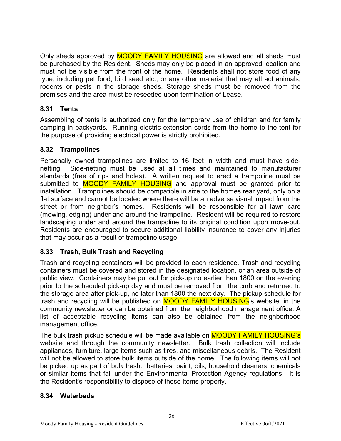Only sheds approved by **MOODY FAMILY HOUSING** are allowed and all sheds must be purchased by the Resident. Sheds may only be placed in an approved location and must not be visible from the front of the home. Residents shall not store food of any type, including pet food, bird seed etc., or any other material that may attract animals, rodents or pests in the storage sheds. Storage sheds must be removed from the premises and the area must be reseeded upon termination of Lease.

# <span id="page-35-0"></span>**8.31 Tents**

Assembling of tents is authorized only for the temporary use of children and for family camping in backyards. Running electric extension cords from the home to the tent for the purpose of providing electrical power is strictly prohibited.

# <span id="page-35-1"></span>**8.32 Trampolines**

Personally owned trampolines are limited to 16 feet in width and must have sidenetting. Side-netting must be used at all times and maintained to manufacturer standards (free of rips and holes). A written request to erect a trampoline must be submitted to **MOODY FAMILY HOUSING** and approval must be granted prior to installation. Trampolines should be compatible in size to the homes rear yard, only on a flat surface and cannot be located where there will be an adverse visual impact from the street or from neighbor's homes. Residents will be responsible for all lawn care (mowing, edging) under and around the trampoline. Resident will be required to restore landscaping under and around the trampoline to its original condition upon move-out. Residents are encouraged to secure additional liability insurance to cover any injuries that may occur as a result of trampoline usage.

# <span id="page-35-2"></span>**8.33 Trash, Bulk Trash and Recycling**

Trash and recycling containers will be provided to each residence. Trash and recycling containers must be covered and stored in the designated location, or an area outside of public view. Containers may be put out for pick-up no earlier than 1800 on the evening prior to the scheduled pick-up day and must be removed from the curb and returned to the storage area after pick-up, no later than 1800 the next day. The pickup schedule for trash and recycling will be published on **MOODY FAMILY HOUSING**'s website, in the community newsletter or can be obtained from the neighborhood management office. A list of acceptable recycling items can also be obtained from the neighborhood management office.

The bulk trash pickup schedule will be made available on MOODY FAMILY HOUSING's website and through the community newsletter. Bulk trash collection will include appliances, furniture, large items such as tires, and miscellaneous debris. The Resident will not be allowed to store bulk items outside of the home. The following items will not be picked up as part of bulk trash: batteries, paint, oils, household cleaners, chemicals or similar items that fall under the Environmental Protection Agency regulations. It is the Resident's responsibility to dispose of these items properly.

# <span id="page-35-3"></span>**8.34 Waterbeds**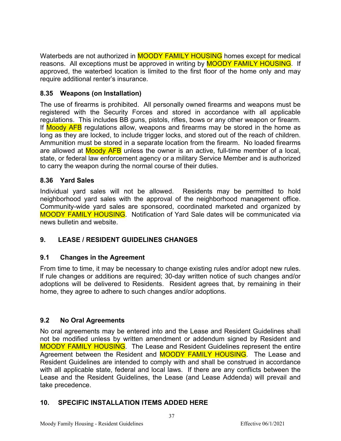Waterbeds are not authorized in **MOODY FAMILY HOUSING** homes except for medical reasons. All exceptions must be approved in writing by **MOODY FAMILY HOUSING**. If approved, the waterbed location is limited to the first floor of the home only and may require additional renter's insurance.

# <span id="page-36-0"></span>**8.35 Weapons (on Installation)**

The use of firearms is prohibited. All personally owned firearms and weapons must be registered with the Security Forces and stored in accordance with all applicable regulations. This includes BB guns, pistols, rifles, bows or any other weapon or firearm. If Moody AFB regulations allow, weapons and firearms may be stored in the home as long as they are locked, to include trigger locks, and stored out of the reach of children. Ammunition must be stored in a separate location from the firearm. No loaded firearms are allowed at **Moody AFB** unless the owner is an active, full-time member of a local, state, or federal law enforcement agency or a military Service Member and is authorized to carry the weapon during the normal course of their duties.

# <span id="page-36-1"></span>**8.36 Yard Sales**

Individual yard sales will not be allowed. Residents may be permitted to hold neighborhood yard sales with the approval of the neighborhood management office. Community-wide yard sales are sponsored, coordinated marketed and organized by MOODY FAMILY HOUSING. Notification of Yard Sale dates will be communicated via news bulletin and website.

# <span id="page-36-2"></span>**9. LEASE / RESIDENT GUIDELINES CHANGES**

# <span id="page-36-3"></span>**9.1 Changes in the Agreement**

From time to time, it may be necessary to change existing rules and/or adopt new rules. lf rule changes or additions are required; 30-day written notice of such changes and/or adoptions will be delivered to Residents. Resident agrees that, by remaining in their home, they agree to adhere to such changes and/or adoptions.

# <span id="page-36-4"></span>**9.2 No Oral Agreements**

No oral agreements may be entered into and the Lease and Resident Guidelines shall not be modified unless by written amendment or addendum signed by Resident and MOODY FAMILY HOUSING. The Lease and Resident Guidelines represent the entire Agreement between the Resident and **MOODY FAMILY HOUSING**. The Lease and Resident Guidelines are intended to comply with and shall be construed in accordance with all applicable state, federal and local laws. If there are any conflicts between the Lease and the Resident Guidelines, the Lease (and Lease Addenda) will prevail and take precedence.

# <span id="page-36-5"></span>**10. SPECIFIC INSTALLATION ITEMS ADDED HERE**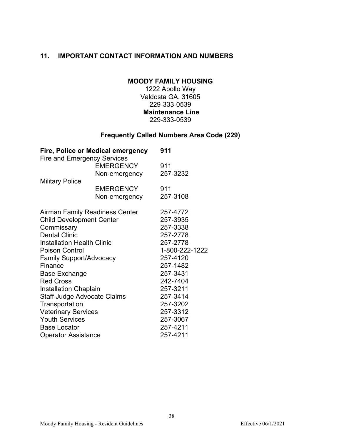# <span id="page-37-0"></span>**11. IMPORTANT CONTACT INFORMATION AND NUMBERS**

#### **MOODY FAMILY HOUSING**

1222 Apollo Way Valdosta GA. 31605 229-333-0539 **Maintenance Line** 229-333-0539

# **Frequently Called Numbers Area Code (229)**

|                                    | Fire, Police or Medical emergency | 911            |
|------------------------------------|-----------------------------------|----------------|
| <b>Fire and Emergency Services</b> |                                   |                |
|                                    | <b>EMERGENCY</b>                  | 911            |
|                                    | Non-emergency                     | 257-3232       |
| <b>Military Police</b>             |                                   |                |
|                                    | <b>EMERGENCY</b>                  | 911            |
|                                    | Non-emergency                     | 257-3108       |
|                                    | Airman Family Readiness Center    | 257-4772       |
| <b>Child Development Center</b>    |                                   | 257-3935       |
| Commissary                         |                                   | 257-3338       |
| <b>Dental Clinic</b>               |                                   | 257-2778       |
| <b>Installation Health Clinic</b>  |                                   | 257-2778       |
| <b>Poison Control</b>              |                                   | 1-800-222-1222 |
| <b>Family Support/Advocacy</b>     |                                   | 257-4120       |
| Finance                            |                                   | 257-1482       |
| Base Exchange                      |                                   | 257-3431       |
| <b>Red Cross</b>                   |                                   | 242-7404       |
| <b>Installation Chaplain</b>       | 257-3211                          |                |
| <b>Staff Judge Advocate Claims</b> | 257-3414                          |                |
| Transportation                     |                                   | 257-3202       |
| <b>Veterinary Services</b>         |                                   | 257-3312       |
| <b>Youth Services</b>              |                                   | 257-3067       |
| <b>Base Locator</b>                |                                   | 257-4211       |
| <b>Operator Assistance</b>         | 257-4211                          |                |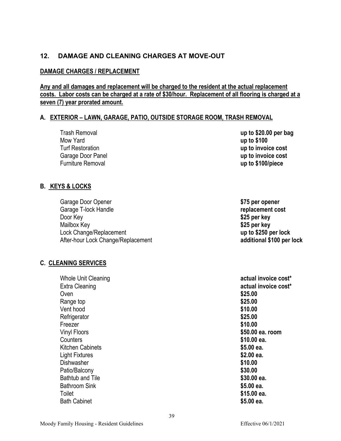# <span id="page-38-0"></span>**12. DAMAGE AND CLEANING CHARGES AT MOVE-OUT**

# **DAMAGE CHARGES / REPLACEMENT**

**Any and all damages and replacement will be charged to the resident at the actual replacement costs. Labor costs can be charged at a rate of \$30/hour. Replacement of all flooring is charged at a seven (7) year prorated amount.**

# **A. EXTERIOR – LAWN, GARAGE, PATIO, OUTSIDE STORAGE ROOM, TRASH REMOVAL**

| Trash Removal     | up to $$20.00$ per bag |
|-------------------|------------------------|
| Mow Yard          | up to \$100            |
| Turf Restoration  | up to invoice cost     |
| Garage Door Panel | up to invoice cost     |
| Furniture Removal | up to \$100/piece      |

#### **B. KEYS & LOCKS**

| Garage Door Opener                 |
|------------------------------------|
| Garage T-lock Handle               |
| Door Key                           |
| Mailbox Key                        |
| Lock Change/Replacement            |
| After-hour Lock Change/Replacement |

# **C. CLEANING SERVICES**

| Extra Cleaning<br>Oven<br>\$25.00<br>\$25.00<br>Range top<br>Vent hood<br>\$10.00<br>Refrigerator<br>\$25.00<br>\$10.00<br>Freezer<br>Vinyl Floors<br>\$50.00 ea. room<br>Counters<br>\$10.00 ea.<br>Kitchen Cabinets<br>\$5.00 ea.<br>Light Fixtures<br>\$2.00 ea.<br>\$10.00<br>Dishwasher<br>Patio/Balcony<br>\$30.00<br><b>Bathtub and Tile</b><br>\$30.00 ea.<br>Bathroom Sink<br>\$5.00 ea.<br>\$15.00 ea.<br>Toilet<br><b>Bath Cabinet</b><br>\$5.00 ea. | <b>Whole Unit Cleaning</b> | actual invoice cost* |
|-----------------------------------------------------------------------------------------------------------------------------------------------------------------------------------------------------------------------------------------------------------------------------------------------------------------------------------------------------------------------------------------------------------------------------------------------------------------|----------------------------|----------------------|
|                                                                                                                                                                                                                                                                                                                                                                                                                                                                 |                            | actual invoice cost* |
|                                                                                                                                                                                                                                                                                                                                                                                                                                                                 |                            |                      |
|                                                                                                                                                                                                                                                                                                                                                                                                                                                                 |                            |                      |
|                                                                                                                                                                                                                                                                                                                                                                                                                                                                 |                            |                      |
|                                                                                                                                                                                                                                                                                                                                                                                                                                                                 |                            |                      |
|                                                                                                                                                                                                                                                                                                                                                                                                                                                                 |                            |                      |
|                                                                                                                                                                                                                                                                                                                                                                                                                                                                 |                            |                      |
|                                                                                                                                                                                                                                                                                                                                                                                                                                                                 |                            |                      |
|                                                                                                                                                                                                                                                                                                                                                                                                                                                                 |                            |                      |
|                                                                                                                                                                                                                                                                                                                                                                                                                                                                 |                            |                      |
|                                                                                                                                                                                                                                                                                                                                                                                                                                                                 |                            |                      |
|                                                                                                                                                                                                                                                                                                                                                                                                                                                                 |                            |                      |
|                                                                                                                                                                                                                                                                                                                                                                                                                                                                 |                            |                      |
|                                                                                                                                                                                                                                                                                                                                                                                                                                                                 |                            |                      |
|                                                                                                                                                                                                                                                                                                                                                                                                                                                                 |                            |                      |
|                                                                                                                                                                                                                                                                                                                                                                                                                                                                 |                            |                      |

\$75 per opener replacement cost \$25 per key \$25 per key

up to \$250 per lock After-hour Lock Change/Replacement **additional \$100 per lock**